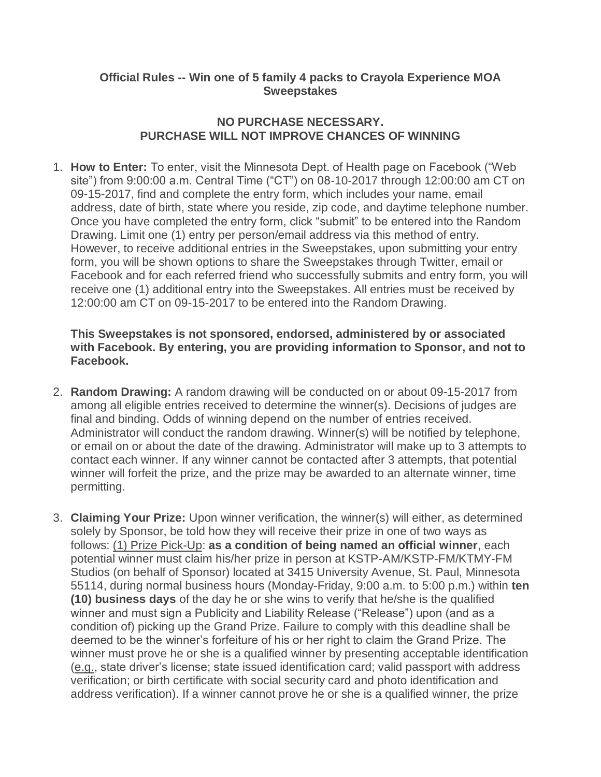## **Official Rules -- Win one of 5 family 4 packs to Crayola Experience MOA Sweepstakes**

## **NO PURCHASE NECESSARY. PURCHASE WILL NOT IMPROVE CHANCES OF WINNING**

1. **How to Enter:** To enter, visit the Minnesota Dept. of Health page on Facebook ("Web site") from 9:00:00 a.m. Central Time ("CT") on 08-10-2017 through 12:00:00 am CT on 09-15-2017, find and complete the entry form, which includes your name, email address, date of birth, state where you reside, zip code, and daytime telephone number. Once you have completed the entry form, click "submit" to be entered into the Random Drawing. Limit one (1) entry per person/email address via this method of entry. However, to receive additional entries in the Sweepstakes, upon submitting your entry form, you will be shown options to share the Sweepstakes through Twitter, email or Facebook and for each referred friend who successfully submits and entry form, you will receive one (1) additional entry into the Sweepstakes. All entries must be received by 12:00:00 am CT on 09-15-2017 to be entered into the Random Drawing.

## **This Sweepstakes is not sponsored, endorsed, administered by or associated with Facebook. By entering, you are providing information to Sponsor, and not to Facebook.**

- 2. **Random Drawing:** A random drawing will be conducted on or about 09-15-2017 from among all eligible entries received to determine the winner(s). Decisions of judges are final and binding. Odds of winning depend on the number of entries received. Administrator will conduct the random drawing. Winner(s) will be notified by telephone, or email on or about the date of the drawing. Administrator will make up to 3 attempts to contact each winner. If any winner cannot be contacted after 3 attempts, that potential winner will forfeit the prize, and the prize may be awarded to an alternate winner, time permitting.
- 3. **Claiming Your Prize:** Upon winner verification, the winner(s) will either, as determined solely by Sponsor, be told how they will receive their prize in one of two ways as follows: (1) Prize Pick-Up: **as a condition of being named an official winner**, each potential winner must claim his/her prize in person at KSTP-AM/KSTP-FM/KTMY-FM Studios (on behalf of Sponsor) located at 3415 University Avenue, St. Paul, Minnesota 55114, during normal business hours (Monday-Friday, 9:00 a.m. to 5:00 p.m.) within **ten (10) business days** of the day he or she wins to verify that he/she is the qualified winner and must sign a Publicity and Liability Release ("Release") upon (and as a condition of) picking up the Grand Prize. Failure to comply with this deadline shall be deemed to be the winner's forfeiture of his or her right to claim the Grand Prize. The winner must prove he or she is a qualified winner by presenting acceptable identification (e.g., state driver's license; state issued identification card; valid passport with address verification; or birth certificate with social security card and photo identification and address verification). If a winner cannot prove he or she is a qualified winner, the prize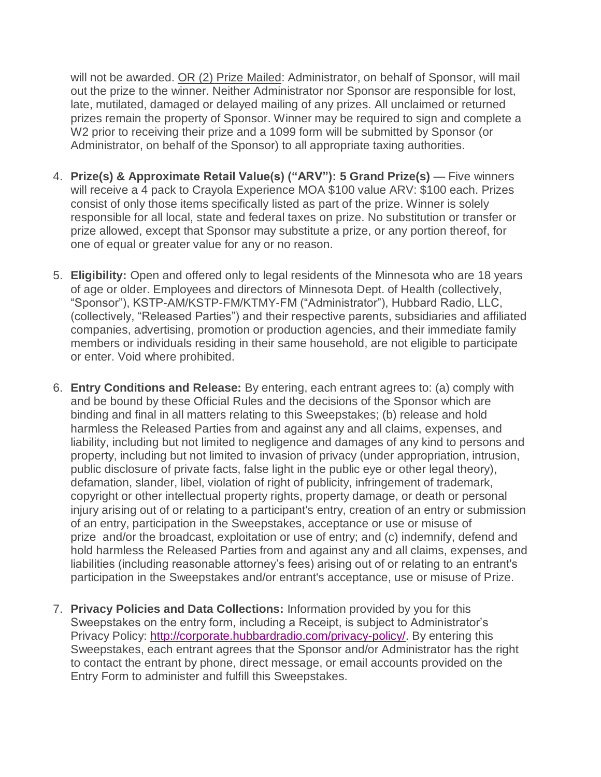will not be awarded. OR (2) Prize Mailed: Administrator, on behalf of Sponsor, will mail out the prize to the winner. Neither Administrator nor Sponsor are responsible for lost, late, mutilated, damaged or delayed mailing of any prizes. All unclaimed or returned prizes remain the property of Sponsor. Winner may be required to sign and complete a W2 prior to receiving their prize and a 1099 form will be submitted by Sponsor (or Administrator, on behalf of the Sponsor) to all appropriate taxing authorities.

- 4. **Prize(s) & Approximate Retail Value(s) ("ARV"): 5 Grand Prize(s)** Five winners will receive a 4 pack to Crayola Experience MOA \$100 value ARV: \$100 each. Prizes consist of only those items specifically listed as part of the prize. Winner is solely responsible for all local, state and federal taxes on prize. No substitution or transfer or prize allowed, except that Sponsor may substitute a prize, or any portion thereof, for one of equal or greater value for any or no reason.
- 5. **Eligibility:** Open and offered only to legal residents of the Minnesota who are 18 years of age or older. Employees and directors of Minnesota Dept. of Health (collectively, "Sponsor"), KSTP-AM/KSTP-FM/KTMY-FM ("Administrator"), Hubbard Radio, LLC, (collectively, "Released Parties") and their respective parents, subsidiaries and affiliated companies, advertising, promotion or production agencies, and their immediate family members or individuals residing in their same household, are not eligible to participate or enter. Void where prohibited.
- 6. **Entry Conditions and Release:** By entering, each entrant agrees to: (a) comply with and be bound by these Official Rules and the decisions of the Sponsor which are binding and final in all matters relating to this Sweepstakes; (b) release and hold harmless the Released Parties from and against any and all claims, expenses, and liability, including but not limited to negligence and damages of any kind to persons and property, including but not limited to invasion of privacy (under appropriation, intrusion, public disclosure of private facts, false light in the public eye or other legal theory), defamation, slander, libel, violation of right of publicity, infringement of trademark, copyright or other intellectual property rights, property damage, or death or personal injury arising out of or relating to a participant's entry, creation of an entry or submission of an entry, participation in the Sweepstakes, acceptance or use or misuse of prize and/or the broadcast, exploitation or use of entry; and (c) indemnify, defend and hold harmless the Released Parties from and against any and all claims, expenses, and liabilities (including reasonable attorney's fees) arising out of or relating to an entrant's participation in the Sweepstakes and/or entrant's acceptance, use or misuse of Prize.
- 7. **Privacy Policies and Data Collections:** Information provided by you for this Sweepstakes on the entry form, including a Receipt, is subject to Administrator's Privacy Policy: [http://corporate.hubbardradio.com/privacy-policy/.](http://corporate.hubbardradio.com/privacy-policy/) By entering this Sweepstakes, each entrant agrees that the Sponsor and/or Administrator has the right to contact the entrant by phone, direct message, or email accounts provided on the Entry Form to administer and fulfill this Sweepstakes.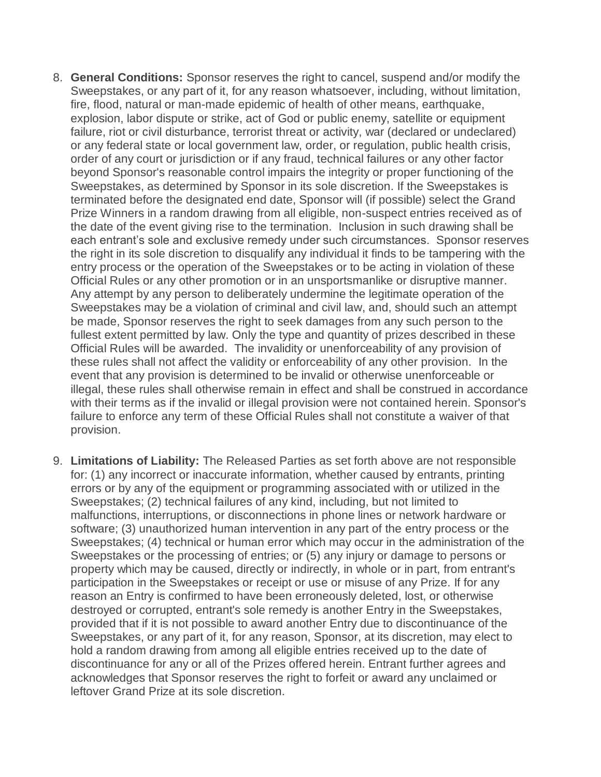- 8. **General Conditions:** Sponsor reserves the right to cancel, suspend and/or modify the Sweepstakes, or any part of it, for any reason whatsoever, including, without limitation, fire, flood, natural or man-made epidemic of health of other means, earthquake, explosion, labor dispute or strike, act of God or public enemy, satellite or equipment failure, riot or civil disturbance, terrorist threat or activity, war (declared or undeclared) or any federal state or local government law, order, or regulation, public health crisis, order of any court or jurisdiction or if any fraud, technical failures or any other factor beyond Sponsor's reasonable control impairs the integrity or proper functioning of the Sweepstakes, as determined by Sponsor in its sole discretion. If the Sweepstakes is terminated before the designated end date, Sponsor will (if possible) select the Grand Prize Winners in a random drawing from all eligible, non-suspect entries received as of the date of the event giving rise to the termination. Inclusion in such drawing shall be each entrant's sole and exclusive remedy under such circumstances. Sponsor reserves the right in its sole discretion to disqualify any individual it finds to be tampering with the entry process or the operation of the Sweepstakes or to be acting in violation of these Official Rules or any other promotion or in an unsportsmanlike or disruptive manner. Any attempt by any person to deliberately undermine the legitimate operation of the Sweepstakes may be a violation of criminal and civil law, and, should such an attempt be made, Sponsor reserves the right to seek damages from any such person to the fullest extent permitted by law. Only the type and quantity of prizes described in these Official Rules will be awarded. The invalidity or unenforceability of any provision of these rules shall not affect the validity or enforceability of any other provision. In the event that any provision is determined to be invalid or otherwise unenforceable or illegal, these rules shall otherwise remain in effect and shall be construed in accordance with their terms as if the invalid or illegal provision were not contained herein. Sponsor's failure to enforce any term of these Official Rules shall not constitute a waiver of that provision.
- 9. **Limitations of Liability:** The Released Parties as set forth above are not responsible for: (1) any incorrect or inaccurate information, whether caused by entrants, printing errors or by any of the equipment or programming associated with or utilized in the Sweepstakes; (2) technical failures of any kind, including, but not limited to malfunctions, interruptions, or disconnections in phone lines or network hardware or software; (3) unauthorized human intervention in any part of the entry process or the Sweepstakes; (4) technical or human error which may occur in the administration of the Sweepstakes or the processing of entries; or (5) any injury or damage to persons or property which may be caused, directly or indirectly, in whole or in part, from entrant's participation in the Sweepstakes or receipt or use or misuse of any Prize. If for any reason an Entry is confirmed to have been erroneously deleted, lost, or otherwise destroyed or corrupted, entrant's sole remedy is another Entry in the Sweepstakes, provided that if it is not possible to award another Entry due to discontinuance of the Sweepstakes, or any part of it, for any reason, Sponsor, at its discretion, may elect to hold a random drawing from among all eligible entries received up to the date of discontinuance for any or all of the Prizes offered herein. Entrant further agrees and acknowledges that Sponsor reserves the right to forfeit or award any unclaimed or leftover Grand Prize at its sole discretion.